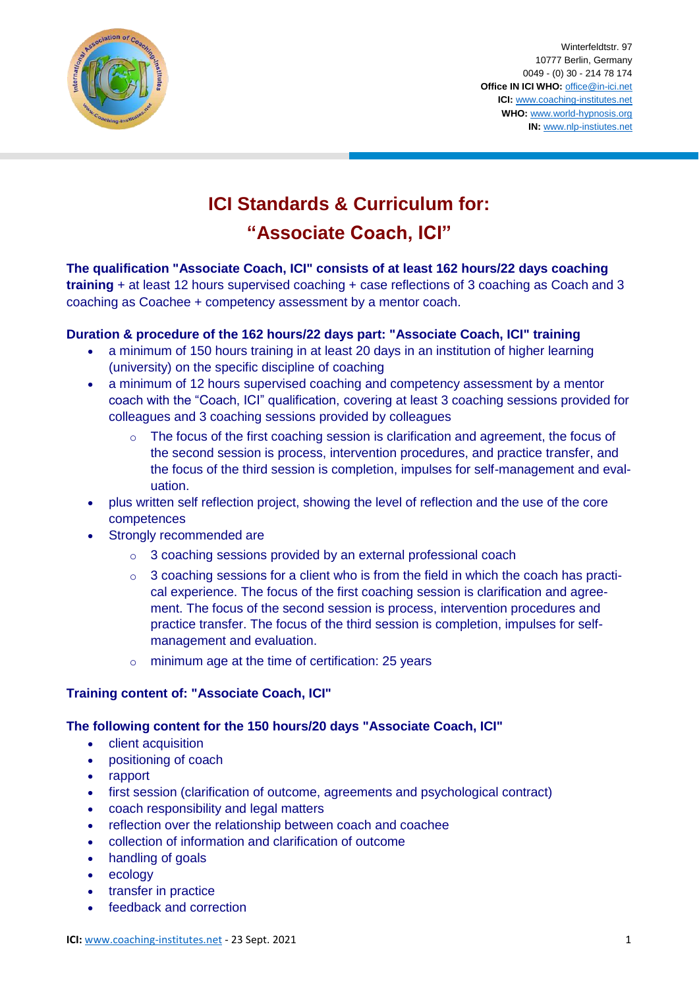

Winterfeldtstr. 97 10777 Berlin, Germany 0049 - (0) 30 - 214 78 174 **Office IN ICI WHO:** [office@in-ici.net](mailto:office@in-ici.net) **ICI:** [www.coaching-institutes.net](http://www.coaching-institutes.net/) **WHO:** [www.world-hypnosis.org](http://www.world-hypnosis.org/) **IN:** [www.nlp-instiutes.net](http://www.nlp-instiutes.net/)

# **ICI Standards & Curriculum for: "Associate Coach, ICI"**

# **The qualification "Associate Coach, ICI" consists of at least 162 hours/22 days coaching**

**training** + at least 12 hours supervised coaching + case reflections of 3 coaching as Coach and 3 coaching as Coachee + competency assessment by a mentor coach.

# **Duration & procedure of the 162 hours/22 days part: "Associate Coach, ICI" training**

- a minimum of 150 hours training in at least 20 days in an institution of higher learning (university) on the specific discipline of coaching
- a minimum of 12 hours supervised coaching and competency assessment by a mentor coach with the "Coach, ICI" qualification, covering at least 3 coaching sessions provided for colleagues and 3 coaching sessions provided by colleagues
	- The focus of the first coaching session is clarification and agreement, the focus of the second session is process, intervention procedures, and practice transfer, and the focus of the third session is completion, impulses for self-management and evaluation.
- plus written self reflection project, showing the level of reflection and the use of the core competences
- Strongly recommended are
	- o 3 coaching sessions provided by an external professional coach
	- $\circ$  3 coaching sessions for a client who is from the field in which the coach has practical experience. The focus of the first coaching session is clarification and agreement. The focus of the second session is process, intervention procedures and practice transfer. The focus of the third session is completion, impulses for selfmanagement and evaluation.
	- o minimum age at the time of certification: 25 years

# **Training content of: "Associate Coach, ICI"**

# **The following content for the 150 hours/20 days "Associate Coach, ICI"**

- client acquisition
- positioning of coach
- rapport
- first session (clarification of outcome, agreements and psychological contract)
- coach responsibility and legal matters
- reflection over the relationship between coach and coachee
- collection of information and clarification of outcome
- handling of goals
- ecology
- transfer in practice
- feedback and correction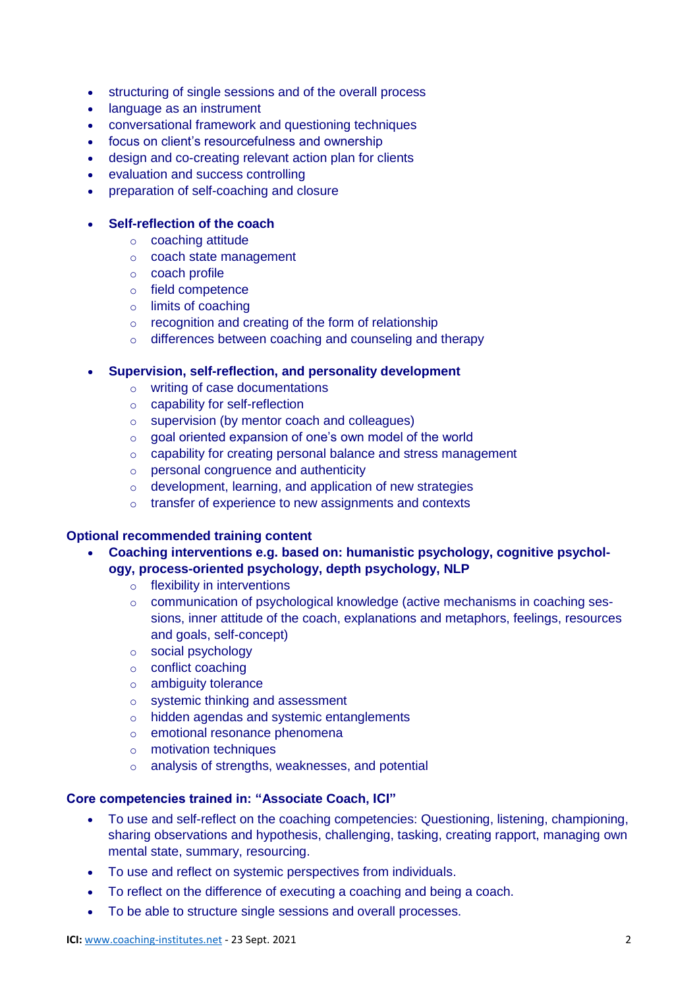- structuring of single sessions and of the overall process
- language as an instrument
- conversational framework and questioning techniques
- focus on client's resourcefulness and ownership
- design and co-creating relevant action plan for clients
- evaluation and success controlling
- preparation of self-coaching and closure

#### **Self-reflection of the coach**

- o coaching attitude
- o coach state management
- o coach profile
- o field competence
- o limits of coaching
- o recognition and creating of the form of relationship
- o differences between coaching and counseling and therapy

#### **Supervision, self-reflection, and personality development**

- o writing of case documentations
- o capability for self-reflection
- o supervision (by mentor coach and colleagues)
- o goal oriented expansion of one's own model of the world
- o capability for creating personal balance and stress management
- o personal congruence and authenticity
- o development, learning, and application of new strategies
- o transfer of experience to new assignments and contexts

# **Optional recommended training content**

 **Coaching interventions e.g. based on: humanistic psychology, cognitive psychology, process-oriented psychology, depth psychology, NLP**

- o flexibility in interventions
- o communication of psychological knowledge (active mechanisms in coaching sessions, inner attitude of the coach, explanations and metaphors, feelings, resources and goals, self-concept)
- o social psychology
- o conflict coaching
- o ambiguity tolerance
- o systemic thinking and assessment
- o hidden agendas and systemic entanglements
- o emotional resonance phenomena
- o motivation techniques
- o analysis of strengths, weaknesses, and potential

#### **Core competencies trained in: "Associate Coach, ICI"**

- To use and self-reflect on the coaching competencies: Questioning, listening, championing, sharing observations and hypothesis, challenging, tasking, creating rapport, managing own mental state, summary, resourcing.
- To use and reflect on systemic perspectives from individuals.
- To reflect on the difference of executing a coaching and being a coach.
- To be able to structure single sessions and overall processes.